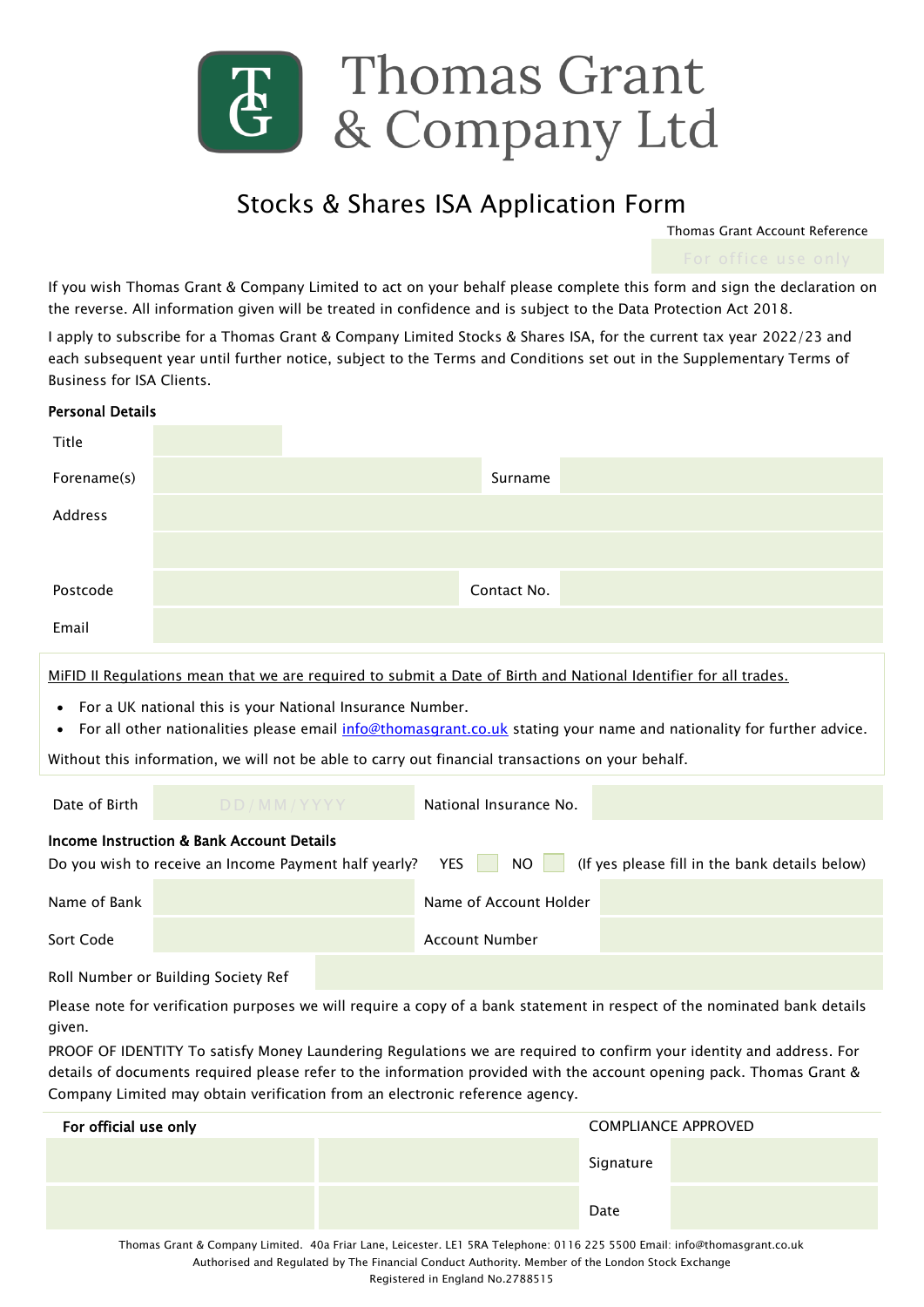

## Stocks & Shares ISA Application Form

Thomas Grant Account Reference

If you wish Thomas Grant & Company Limited to act on your behalf please complete this form and sign the declaration on the reverse. All information given will be treated in confidence and is subject to the Data Protection Act 2018.

I apply to subscribe for a Thomas Grant & Company Limited Stocks & Shares ISA, for the current tax year 2022/23 and each subsequent year until further notice, subject to the Terms and Conditions set out in the Supplementary Terms of Business for ISA Clients.

| <b>Personal Details</b>                                                                                                                                                                                                                                                                                                                                                                                                                                            |            |  |                        |           |                            |
|--------------------------------------------------------------------------------------------------------------------------------------------------------------------------------------------------------------------------------------------------------------------------------------------------------------------------------------------------------------------------------------------------------------------------------------------------------------------|------------|--|------------------------|-----------|----------------------------|
| Title                                                                                                                                                                                                                                                                                                                                                                                                                                                              |            |  |                        |           |                            |
| Forename(s)                                                                                                                                                                                                                                                                                                                                                                                                                                                        |            |  | Surname                |           |                            |
| Address                                                                                                                                                                                                                                                                                                                                                                                                                                                            |            |  |                        |           |                            |
|                                                                                                                                                                                                                                                                                                                                                                                                                                                                    |            |  |                        |           |                            |
| Postcode                                                                                                                                                                                                                                                                                                                                                                                                                                                           |            |  | Contact No.            |           |                            |
| Email                                                                                                                                                                                                                                                                                                                                                                                                                                                              |            |  |                        |           |                            |
| MiFID II Regulations mean that we are reguired to submit a Date of Birth and National Identifier for all trades.<br>For a UK national this is your National Insurance Number.<br>For all other nationalities please email info@thomasgrant.co.uk stating your name and nationality for further advice.<br>$\bullet$<br>Without this information, we will not be able to carry out financial transactions on your behalf.                                           |            |  |                        |           |                            |
| Date of Birth                                                                                                                                                                                                                                                                                                                                                                                                                                                      | DD/MM/YYYY |  | National Insurance No. |           |                            |
| Income Instruction & Bank Account Details<br>(If yes please fill in the bank details below)<br>Do you wish to receive an Income Payment half yearly?<br><b>YES</b><br><b>NO</b>                                                                                                                                                                                                                                                                                    |            |  |                        |           |                            |
| Name of Bank                                                                                                                                                                                                                                                                                                                                                                                                                                                       |            |  | Name of Account Holder |           |                            |
| Sort Code                                                                                                                                                                                                                                                                                                                                                                                                                                                          |            |  | <b>Account Number</b>  |           |                            |
| Roll Number or Building Society Ref                                                                                                                                                                                                                                                                                                                                                                                                                                |            |  |                        |           |                            |
| Please note for verification purposes we will require a copy of a bank statement in respect of the nominated bank details<br>given.<br>PROOF OF IDENTITY To satisfy Money Laundering Regulations we are required to confirm your identity and address. For<br>details of documents required please refer to the information provided with the account opening pack. Thomas Grant &<br>Company Limited may obtain verification from an electronic reference agency. |            |  |                        |           |                            |
| For official use only                                                                                                                                                                                                                                                                                                                                                                                                                                              |            |  |                        |           | <b>COMPLIANCE APPROVED</b> |
|                                                                                                                                                                                                                                                                                                                                                                                                                                                                    |            |  |                        | Signature |                            |

Thomas Grant & Company Limited. 40a Friar Lane, Leicester. LE1 5RA Telephone: 0116 225 5500 Email: info@thomasgrant.co.uk Authorised and Regulated by The Financial Conduct Authority. Member of the London Stock Exchange Registered in England No.2788515

Date